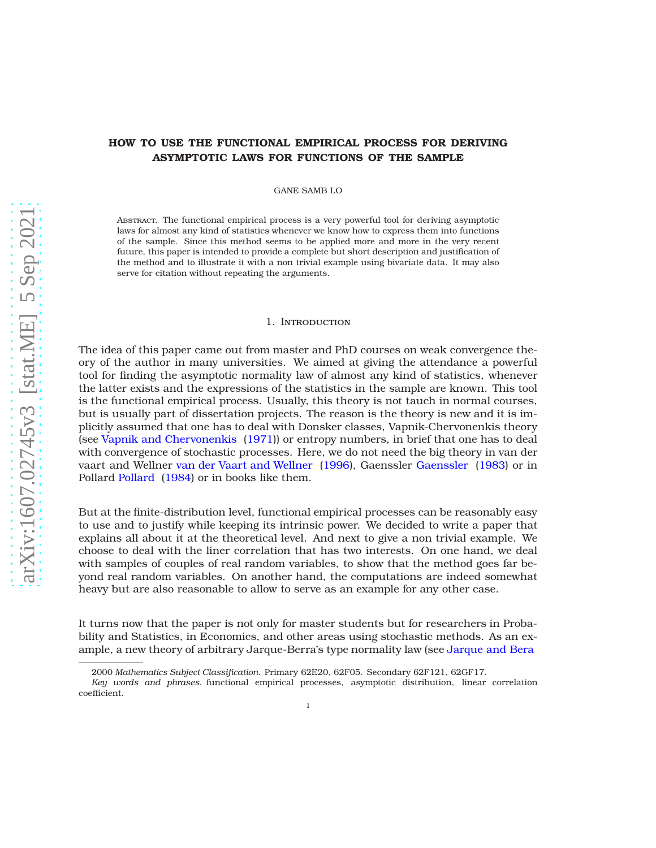# **HOW TO USE THE FUNCTIONAL EMPIRICAL PROCESS FOR DERIVING ASYMPTOTIC LAWS FOR FUNCTIONS OF THE SAMPLE**

GANE SAMB LO

Abstract. The functional empirical process is a very powerful tool for deriving asymptotic laws for almost any kind of statistics whenever we know how to express them into functions of the sample. Since this method seems to be applied more and more in the very recent future, this paper is intended to provide a complete but short description and justification of the method and to illustrate it with a non trivial example using bivariate data. It may also serve for citation without repeating the arguments.

#### 1. Introduction

The idea of this paper came out from master and PhD courses on weak convergence theory of the author in many universities. We aimed at giving the attendance a powerful tool for finding the asymptotic normality law of almost any kind of statistics, whenever the latter exists and the expressions of the statistics in the sample are known. This tool is the functional empirical process. Usually, this theory is not tauch in normal courses, but is usually part of dissertation projects. The reason is the theory is new and it is implicitly assumed that one has to deal with Donsker classes, Vapnik-Chervonenkis theory (see [Vapnik and Chervonenkis](#page-8-0) [\(1971](#page-8-0))) or entropy numbers, in brief that one has to deal with convergence of stochastic processes. Here, we do not need the big theory in van der vaart and Wellner [van der Vaart and Wellner](#page-8-1) [\(1996](#page-8-1)), Gaenssler [Gaenssler](#page-8-2) [\(1983\)](#page-8-2) or in Pollard [Pollard](#page-8-3) [\(1984](#page-8-3)) or in books like them.

But at the finite-distribution level, functional empirical processes can be reasonably easy to use and to justify while keeping its intrinsic power. We decided to write a paper that explains all about it at the theoretical level. And next to give a non trivial example. We choose to deal with the liner correlation that has two interests. On one hand, we deal with samples of couples of real random variables, to show that the method goes far beyond real random variables. On another hand, the computations are indeed somewhat heavy but are also reasonable to allow to serve as an example for any other case.

It turns now that the paper is not only for master students but for researchers in Probability and Statistics, in Economics, and other areas using stochastic methods. As an example, a new theory of arbitrary Jarque-Berra's type normality law (see [Jarque and Bera](#page-8-4)

<sup>2000</sup> *Mathematics Subject Classification.* Primary 62E20, 62F05. Secondary 62F121, 62GF17.

*Key words and phrases.* functional empirical processes, asymptotic distribution, linear correlation coefficient.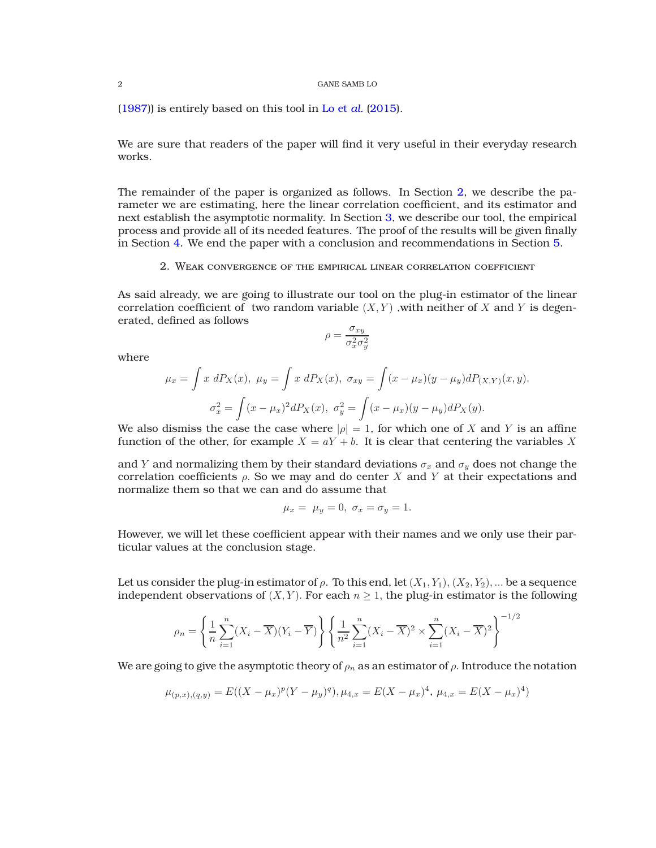[\(1987\)](#page-8-4)) is entirely based on this tool in [Lo et](#page-9-0) *al.* [\(2015](#page-9-0)).

We are sure that readers of the paper will find it very useful in their everyday research works.

The remainder of the paper is organized as follows. In Section [2,](#page-1-0) we describe the parameter we are estimating, here the linear correlation coefficient, and its estimator and next establish the asymptotic normality. In Section [3,](#page-2-0) we describe our tool, the empirical process and provide all of its needed features. The proof of the results will be given finally in Section [4.](#page-5-0) We end the paper with a conclusion and recommendations in Section [5.](#page-8-5)

2. Weak convergence of the empirical linear correlation coefficient

<span id="page-1-0"></span>As said already, we are going to illustrate our tool on the plug-in estimator of the linear correlation coefficient of two random variable  $(X, Y)$ , with neither of X and Y is degenerated, defined as follows

$$
\rho = \frac{\sigma_{xy}}{\sigma_x^2 \sigma_y^2}
$$

where

$$
\mu_x = \int x \, dP_X(x), \ \mu_y = \int x \, dP_X(x), \ \sigma_{xy} = \int (x - \mu_x)(y - \mu_y) dP_{(X,Y)}(x, y).
$$

$$
\sigma_x^2 = \int (x - \mu_x)^2 dP_X(x), \ \sigma_y^2 = \int (x - \mu_x)(y - \mu_y) dP_X(y).
$$

We also dismiss the case the case where  $|\rho|=1$ , for which one of X and Y is an affine function of the other, for example  $X = aY + b$ . It is clear that centering the variables X

and Y and normalizing them by their standard deviations  $\sigma_x$  and  $\sigma_y$  does not change the correlation coefficients  $\rho$ . So we may and do center X and Y at their expectations and normalize them so that we can and do assume that

$$
\mu_x = \mu_y = 0, \sigma_x = \sigma_y = 1.
$$

However, we will let these coefficient appear with their names and we only use their particular values at the conclusion stage.

Let us consider the plug-in estimator of  $\rho$ . To this end, let  $(X_1, Y_1), (X_2, Y_2), ...$  be a sequence independent observations of  $(X, Y)$ . For each  $n \geq 1$ , the plug-in estimator is the following

$$
\rho_n = \left\{ \frac{1}{n} \sum_{i=1}^n (X_i - \overline{X})(Y_i - \overline{Y}) \right\} \left\{ \frac{1}{n^2} \sum_{i=1}^n (X_i - \overline{X})^2 \times \sum_{i=1}^n (X_i - \overline{X})^2 \right\}^{-1/2}
$$

We are going to give the asymptotic theory of  $\rho_n$  as an estimator of  $\rho$ . Introduce the notation

$$
\mu_{(p,x),(q,y)} = E((X - \mu_x)^p (Y - \mu_y)^q), \mu_{4,x} = E(X - \mu_x)^4, \mu_{4,x} = E(X - \mu_x)^4)
$$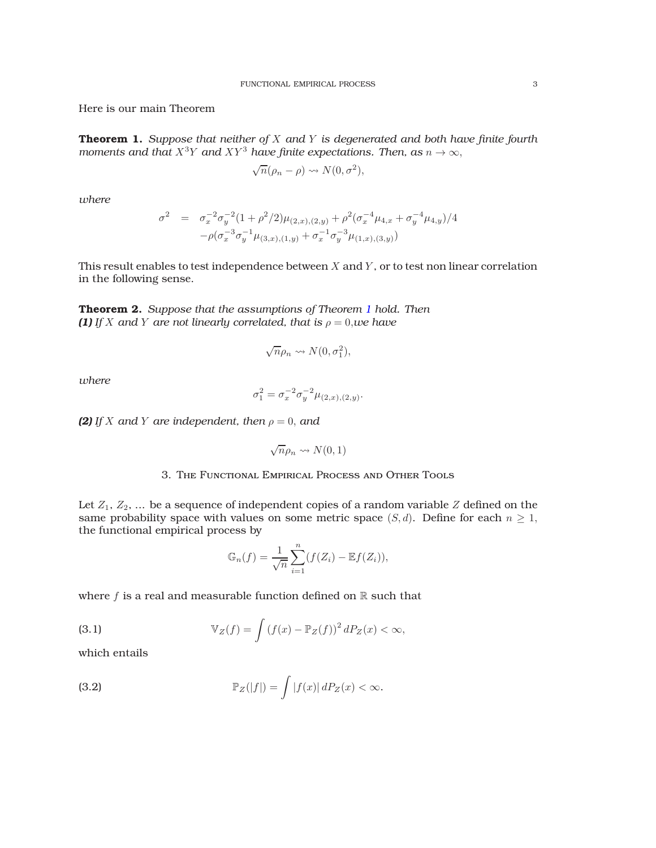Here is our main Theorem

<span id="page-2-1"></span>**Theorem 1.** *Suppose that neither of* X *and* Y *is degenerated and both have finite fourth moments and that*  $X^3Y$  *and*  $XY^3$  *have finite expectations. Then, as*  $n \to \infty$ ,

$$
\sqrt{n}(\rho_n - \rho) \rightsquigarrow N(0, \sigma^2),
$$

*where*

$$
\sigma^2 = \sigma_x^{-2} \sigma_y^{-2} (1 + \rho^2/2) \mu_{(2,x),(2,y)} + \rho^2 (\sigma_x^{-4} \mu_{4,x} + \sigma_y^{-4} \mu_{4,y})/4 - \rho (\sigma_x^{-3} \sigma_y^{-1} \mu_{(3,x),(1,y)} + \sigma_x^{-1} \sigma_y^{-3} \mu_{(1,x),(3,y)})
$$

This result enables to test independence between  $X$  and  $Y$ , or to test non linear correlation in the following sense.

<span id="page-2-3"></span>**Theorem 2.** *Suppose that the assumptions of Theorem [1](#page-2-1) hold. Then (1) If X* and *Y* are not linearly correlated, that is  $\rho = 0$ , *we have* 

$$
\sqrt{n}\rho_n \leadsto N(0, \sigma_1^2),
$$

*where*

$$
\sigma_1^2 = \sigma_x^{-2} \sigma_y^{-2} \mu_{(2,x),(2,y)}.
$$

*(2) If X* and *Y* are independent, then  $\rho = 0$ , and

$$
\sqrt{n}\rho_n \leadsto N(0,1)
$$

## 3. The Functional Empirical Process and Other Tools

<span id="page-2-0"></span>Let  $Z_1, Z_2, \ldots$  be a sequence of independent copies of a random variable  $Z$  defined on the same probability space with values on some metric space  $(S, d)$ . Define for each  $n \geq 1$ , the functional empirical process by

<span id="page-2-2"></span>
$$
\mathbb{G}_n(f) = \frac{1}{\sqrt{n}} \sum_{i=1}^n (f(Z_i) - \mathbb{E}f(Z_i)),
$$

where  $f$  is a real and measurable function defined on  $\mathbb R$  such that

(3.1) 
$$
\mathbb{V}_Z(f) = \int \left(f(x) - \mathbb{P}_Z(f)\right)^2 dP_Z(x) < \infty,
$$

which entails

(3.2) 
$$
\mathbb{P}_Z(|f|) = \int |f(x)| dP_Z(x) < \infty.
$$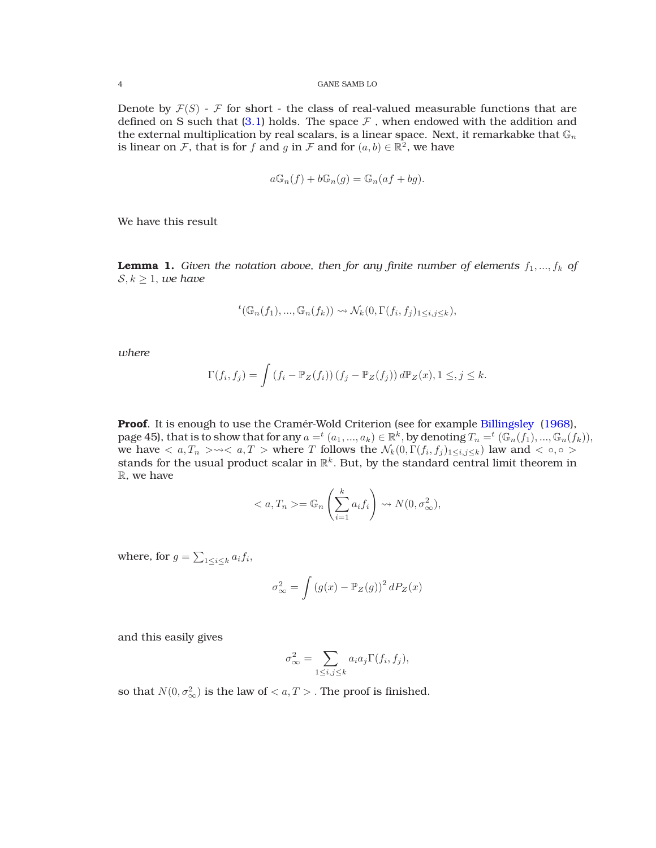Denote by  $\mathcal{F}(S)$  -  $\mathcal F$  for short - the class of real-valued measurable functions that are defined on S such that  $(3.1)$  holds. The space  $\mathcal F$  , when endowed with the addition and the external multiplication by real scalars, is a linear space. Next, it remarkabke that  $\mathbb{G}_n$ is linear on  $\mathcal F$ , that is for  $f$  and  $g$  in  $\mathcal F$  and for  $(a, b) \in \mathbb{R}^2$ , we have

$$
a\mathbb{G}_n(f) + b\mathbb{G}_n(g) = \mathbb{G}_n(af + bg).
$$

We have this result

**Lemma 1.** Given the notation above, then for any finite number of elements  $f_1, ..., f_k$  of  $S, k \geq 1$ , *we have* 

$$
{}^{t}(\mathbb{G}_{n}(f_{1}),...,\mathbb{G}_{n}(f_{k})) \rightsquigarrow \mathcal{N}_{k}(0,\Gamma(f_{i},f_{j})_{1\leq i,j\leq k}),
$$

*where*

$$
\Gamma(f_i, f_j) = \int \left(f_i - \mathbb{P}_Z(f_i)\right) \left(f_j - \mathbb{P}_Z(f_j)\right) d\mathbb{P}_Z(x), 1 \leq, j \leq k.
$$

Proof. It is enough to use the Cramér-Wold Criterion (see for example [Billingsley](#page-9-1) [\(1968](#page-9-1)), page 45), that is to show that for any  $a = ^t(a_1, ..., a_k) \in \mathbb{R}^k$ , by denoting  $T_n = ^t(\mathbb{G}_n(f_1), ..., \mathbb{G}_n(f_k)),$ we have  $\langle a, T_n \rangle \to \langle a, T \rangle$  where T follows the  $\mathcal{N}_k(0, \Gamma(f_i, f_j)_{1 \leq i,j \leq k})$  law and  $\langle \circ, \circ \rangle$ stands for the usual product scalar in  $\mathbb{R}^k$ . But, by the standard central limit theorem in R, we have

$$
\langle a, T_n \rangle = \mathbb{G}_n \left( \sum_{i=1}^k a_i f_i \right) \rightsquigarrow N(0, \sigma^2_{\infty}),
$$

where, for  $g = \sum_{1 \leq i \leq k} a_i f_i$ ,

$$
\sigma_{\infty}^2 = \int \left(g(x) - \mathbb{P}_Z(g)\right)^2 dP_Z(x)
$$

and this easily gives

$$
\sigma_{\infty}^2 = \sum_{1 \le i,j \le k} a_i a_j \Gamma(f_i, f_j),
$$

so that  $N(0, \sigma_{\infty}^2)$  is the law of  $< a, T >$  . The proof is finished.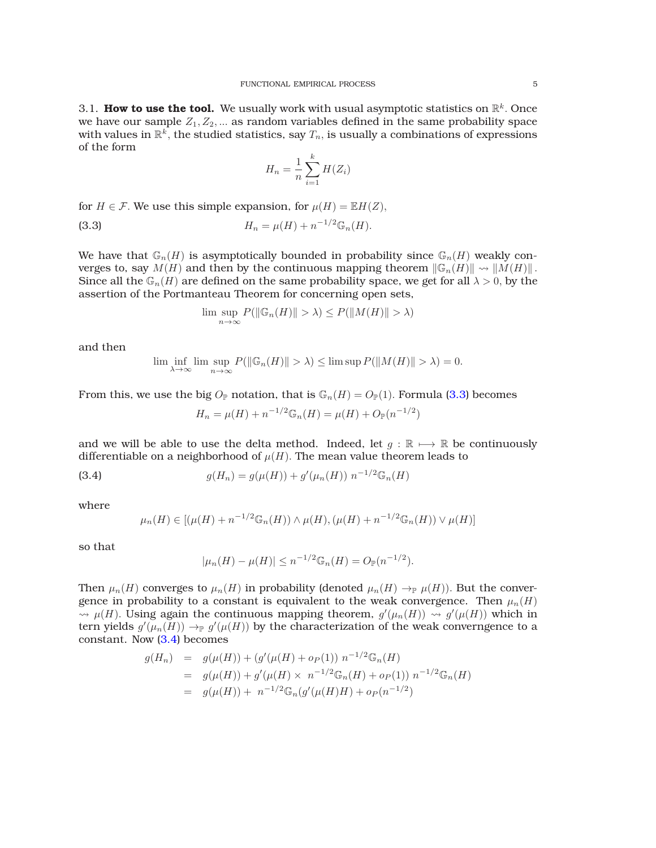3.1. How to use the tool. We usually work with usual asymptotic statistics on  $\mathbb{R}^k$ . Once we have our sample  $Z_1, Z_2, \ldots$  as random variables defined in the same probability space with values in  $\mathbb{R}^k$ , the studied statistics, say  $T_n$ , is usually a combinations of expressions of the form

<span id="page-4-0"></span>
$$
H_n = \frac{1}{n} \sum_{i=1}^{k} H(Z_i)
$$

for  $H \in \mathcal{F}$ . We use this simple expansion, for  $\mu(H) = \mathbb{E}H(Z)$ ,

(3.3) 
$$
H_n = \mu(H) + n^{-1/2} \mathbb{G}_n(H).
$$

We have that  $\mathbb{G}_n(H)$  is asymptotically bounded in probability since  $\mathbb{G}_n(H)$  weakly converges to, say  $M(H)$  and then by the continuous mapping theorem  $\|\mathbb{G}_n(H)\| \rightsquigarrow \|M(H)\|$ . Since all the  $\mathbb{G}_n(H)$  are defined on the same probability space, we get for all  $\lambda > 0$ , by the assertion of the Portmanteau Theorem for concerning open sets,

$$
\limsup_{n \to \infty} P(||\mathbb{G}_n(H)|| > \lambda) \le P(||M(H)|| > \lambda)
$$

and then

$$
\lim_{\lambda \to \infty} \inf_{n \to \infty} \limsup_{n \to \infty} P(||\mathbb{G}_n(H)|| > \lambda) \le \limsup P(||M(H)|| > \lambda) = 0.
$$

From this, we use the big  $O_P$  notation, that is  $\mathbb{G}_n(H) = O_P(1)$ . Formula [\(3.3\)](#page-4-0) becomes

<span id="page-4-1"></span>
$$
H_n = \mu(H) + n^{-1/2} \mathbb{G}_n(H) = \mu(H) + O_{\mathbb{P}}(n^{-1/2})
$$

and we will be able to use the delta method. Indeed, let  $q : \mathbb{R} \mapsto \mathbb{R}$  be continuously differentiable on a neighborhood of  $\mu(H)$ . The mean value theorem leads to

(3.4) 
$$
g(H_n) = g(\mu(H)) + g'(\mu_n(H)) n^{-1/2} \mathbb{G}_n(H)
$$

where

$$
\mu_n(H) \in [(\mu(H) + n^{-1/2} \mathbb{G}_n(H)) \wedge \mu(H), (\mu(H) + n^{-1/2} \mathbb{G}_n(H)) \vee \mu(H)]
$$

so that

$$
|\mu_n(H) - \mu(H)| \le n^{-1/2} \mathbb{G}_n(H) = O_{\mathbb{P}}(n^{-1/2}).
$$

Then  $\mu_n(H)$  converges to  $\mu_n(H)$  in probability (denoted  $\mu_n(H) \to_{\mathbb{P}} \mu(H)$ ). But the convergence in probability to a constant is equivalent to the weak convergence. Then  $\mu_n(H)$  $\rightarrow$   $\mu(H)$ . Using again the continuous mapping theorem,  $g'(\mu_n(H)) \rightarrow g'(\mu(H))$  which in tern yields  $g'(\mu_n(H)) \to_{\mathbb{P}} g'(\mu(H))$  by the characterization of the weak converngence to a constant. Now [\(3.4\)](#page-4-1) becomes

$$
g(H_n) = g(\mu(H)) + (g'(\mu(H) + o_P(1)) n^{-1/2} \mathbb{G}_n(H)
$$
  
=  $g(\mu(H)) + g'(\mu(H) \times n^{-1/2} \mathbb{G}_n(H) + o_P(1)) n^{-1/2} \mathbb{G}_n(H)$   
=  $g(\mu(H)) + n^{-1/2} \mathbb{G}_n(g'(\mu(H)H) + o_P(n^{-1/2}))$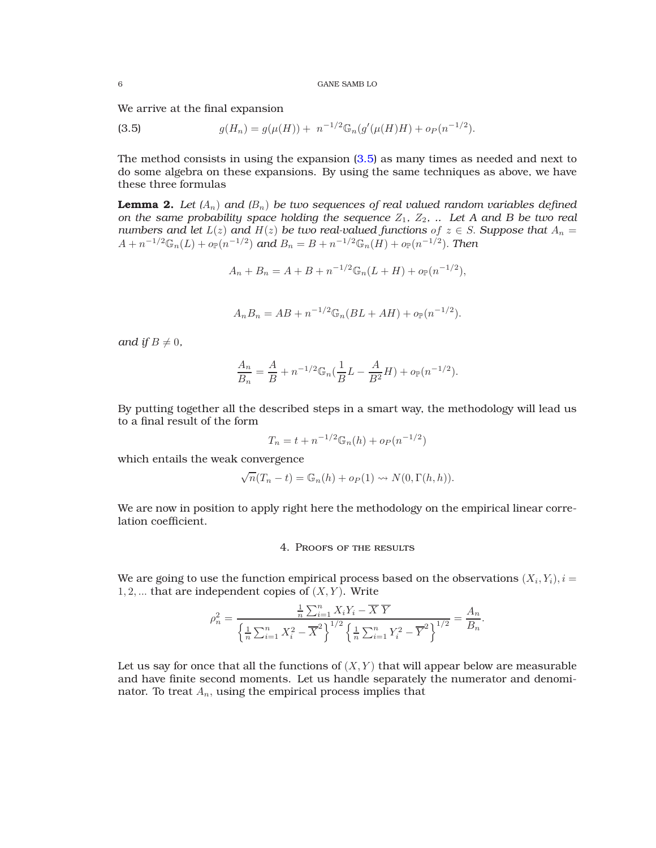We arrive at the final expansion

<span id="page-5-1"></span>(3.5) 
$$
g(H_n) = g(\mu(H)) + n^{-1/2} \mathbb{G}_n(g'(\mu(H)H) + o_P(n^{-1/2}).
$$

The method consists in using the expansion [\(3.5\)](#page-5-1) as many times as needed and next to do some algebra on these expansions. By using the same techniques as above, we have these three formulas

**Lemma 2.** Let  $(A_n)$  and  $(B_n)$  be two sequences of real valued random variables defined *on the same probability space holding the sequence*  $Z_1$ *,*  $Z_2$ *, .. Let A and B be two real numbers and let*  $L(z)$  *and*  $H(z)$  *be two real-valued functions of*  $z \in S$ *. Suppose that*  $A_n =$  $A + n^{-1/2} \mathbb{G}_n(L) + o_{\mathbb{P}}(n^{-1/2})$  and  $B_n = B + n^{-1/2} \mathbb{G}_n(H) + o_{\mathbb{P}}(n^{-1/2})$ . Then

$$
A_n + B_n = A + B + n^{-1/2} \mathbb{G}_n(L+H) + o_{\mathbb{P}}(n^{-1/2}),
$$

$$
A_n B_n = AB + n^{-1/2} \mathbb{G}_n (BL + AH) + o_{\mathbb{P}}(n^{-1/2}).
$$

*and if*  $B \neq 0$ *,* 

$$
\frac{A_n}{B_n} = \frac{A}{B} + n^{-1/2} \mathbb{G}_n \left( \frac{1}{B} L - \frac{A}{B^2} H \right) + o_{\mathbb{P}}(n^{-1/2}).
$$

By putting together all the described steps in a smart way, the methodology will lead us to a final result of the form

$$
T_n = t + n^{-1/2} \mathbb{G}_n(h) + o_P(n^{-1/2})
$$

which entails the weak convergence

$$
\sqrt{n}(T_n - t) = \mathbb{G}_n(h) + o_P(1) \rightsquigarrow N(0, \Gamma(h, h)).
$$

<span id="page-5-0"></span>We are now in position to apply right here the methodology on the empirical linear correlation coefficient.

# 4. Proofs of the results

We are going to use the function empirical process based on the observations  $(X_i,Y_i), i =$  $1, 2, \ldots$  that are independent copies of  $(X, Y)$ . Write

$$
\rho_n^2 = \frac{\frac{1}{n} \sum_{i=1}^n X_i Y_i - \overline{X} \ \overline{Y}}{\left\{ \frac{1}{n} \sum_{i=1}^n X_i^2 - \overline{X}^2 \right\}^{1/2} \left\{ \frac{1}{n} \sum_{i=1}^n Y_i^2 - \overline{Y}^2 \right\}^{1/2}} = \frac{A_n}{B_n}.
$$

Let us say for once that all the functions of  $(X, Y)$  that will appear below are measurable and have finite second moments. Let us handle separately the numerator and denominator. To treat  $A_n$ , using the empirical process implies that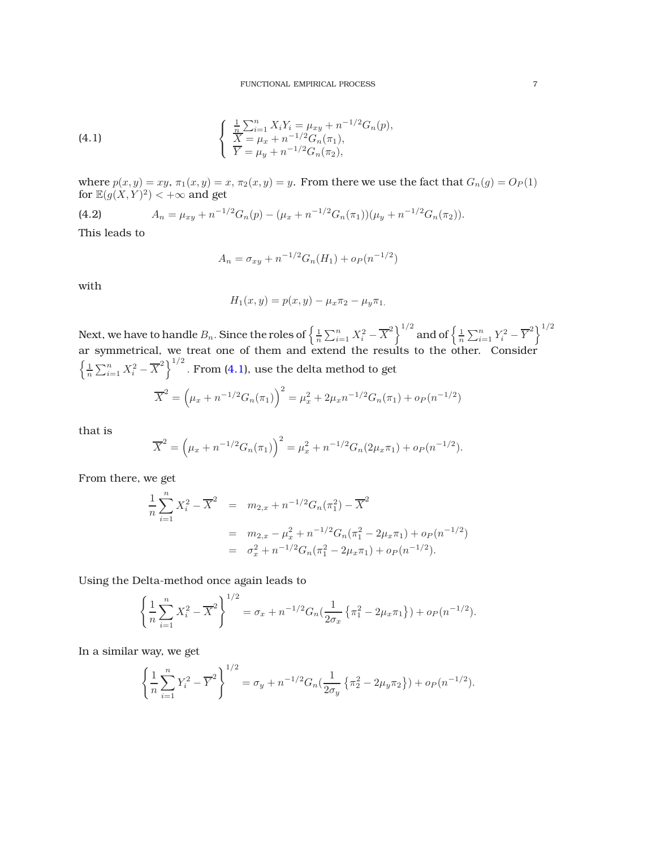(4.1) 
$$
\begin{cases} \frac{1}{n} \sum_{i=1}^{n} X_i Y_i = \mu_{xy} + n^{-1/2} G_n(p), \\ \overline{X} = \mu_x + n^{-1/2} G_n(\pi_1), \\ \overline{Y} = \mu_y + n^{-1/2} G_n(\pi_2), \end{cases}
$$

where  $p(x, y) = xy$ ,  $\pi_1(x, y) = x$ ,  $\pi_2(x, y) = y$ . From there we use the fact that  $G_n(g) = O_P(1)$ for  $\mathbb{E}(g(X,Y)^2) < +\infty$  and get

<span id="page-6-1"></span>(4.2) 
$$
A_n = \mu_{xy} + n^{-1/2} G_n(p) - (\mu_x + n^{-1/2} G_n(\pi_1)) (\mu_y + n^{-1/2} G_n(\pi_2)).
$$

This leads to

<span id="page-6-0"></span>
$$
A_n = \sigma_{xy} + n^{-1/2} G_n(H_1) + o_P(n^{-1/2})
$$

with

$$
H_1(x, y) = p(x, y) - \mu_x \pi_2 - \mu_y \pi_1.
$$

Next, we have to handle  $B_n.$  Since the roles of  $\left\{\frac{1}{n}\sum_{i=1}^nX_i^2-\overline{X}^2\right\}^{1/2}$  and of  $\left\{\frac{1}{n}\sum_{i=1}^nY_i^2-\overline{Y}^2\right\}^{1/2}$ ar symmetrical, we treat one of them and extend the results to the other. Consider  $\left\{\frac{1}{n}\sum_{i=1}^{n}X_i^2-\overline{X}^2\right\}^{1/2}$ . From [\(4.1\)](#page-6-0), use the delta method to get  $\mu^2 = (\mu_x + n^{-1/2} G_n(\pi_1))^2 = \mu_x^2 + 2\mu_x n$  $^{-1/2})$ 

$$
\overline{X}^2 = (\mu_x + n^{-1/2} G_n(\pi_1))^{-1} = \mu_x^2 + 2\mu_x n^{-1/2} G_n(\pi_1) + o_P(n)
$$

that is

$$
\overline{X}^2 = (\mu_x + n^{-1/2} G_n(\pi_1))^2 = \mu_x^2 + n^{-1/2} G_n(2\mu_x \pi_1) + o_P(n^{-1/2}).
$$

From there, we get

$$
\frac{1}{n} \sum_{i=1}^{n} X_i^2 - \overline{X}^2 = m_{2,x} + n^{-1/2} G_n(\pi_1^2) - \overline{X}^2
$$
  
=  $m_{2,x} - \mu_x^2 + n^{-1/2} G_n(\pi_1^2 - 2\mu_x \pi_1) + o_P(n^{-1/2})$   
=  $\sigma_x^2 + n^{-1/2} G_n(\pi_1^2 - 2\mu_x \pi_1) + o_P(n^{-1/2}).$ 

Using the Delta-method once again leads to

$$
\left\{\frac{1}{n}\sum_{i=1}^{n}X_i^2-\overline{X}^2\right\}^{1/2}=\sigma_x+n^{-1/2}G_n\left(\frac{1}{2\sigma_x}\left\{\pi_1^2-2\mu_x\pi_1\right\}\right)+o_P(n^{-1/2}).
$$

In a similar way, we get

$$
\left\{\frac{1}{n}\sum_{i=1}^n Y_i^2 - \overline{Y}^2\right\}^{1/2} = \sigma_y + n^{-1/2}G_n\left(\frac{1}{2\sigma_y}\left\{\pi_2^2 - 2\mu_y\pi_2\right\}\right) + o_P(n^{-1/2}).
$$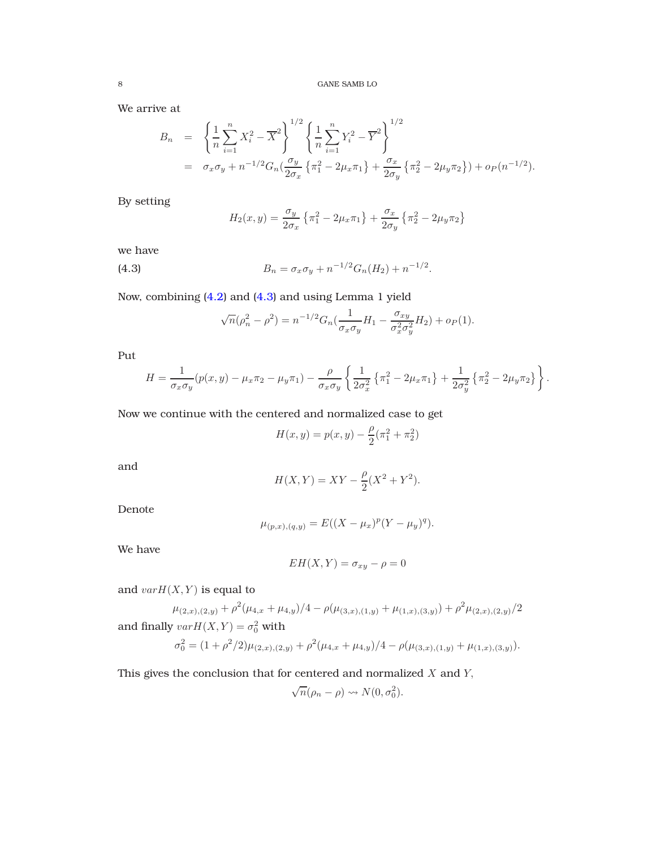We arrive at

$$
B_n = \left\{ \frac{1}{n} \sum_{i=1}^n X_i^2 - \overline{X}^2 \right\}^{1/2} \left\{ \frac{1}{n} \sum_{i=1}^n Y_i^2 - \overline{Y}^2 \right\}^{1/2}
$$
  
=  $\sigma_x \sigma_y + n^{-1/2} G_n \left( \frac{\sigma_y}{2\sigma_x} \left\{ \pi_1^2 - 2\mu_x \pi_1 \right\} + \frac{\sigma_x}{2\sigma_y} \left\{ \pi_2^2 - 2\mu_y \pi_2 \right\} \right) + o_P(n^{-1/2}).$ 

By setting

$$
H_2(x,y) = \frac{\sigma_y}{2\sigma_x} \left\{ \pi_1^2 - 2\mu_x \pi_1 \right\} + \frac{\sigma_x}{2\sigma_y} \left\{ \pi_2^2 - 2\mu_y \pi_2 \right\}
$$

we have

(4.3) 
$$
B_n = \sigma_x \sigma_y + n^{-1/2} G_n(H_2) + n^{-1/2}.
$$

Now, combining [\(4.2\)](#page-6-1) and [\(4.3\)](#page-7-0) and using Lemma 1 yield

<span id="page-7-0"></span>
$$
\sqrt{n}(\rho_n^2 - \rho^2) = n^{-1/2} G_n(\frac{1}{\sigma_x \sigma_y} H_1 - \frac{\sigma_{xy}}{\sigma_x^2 \sigma_y^2} H_2) + o_P(1).
$$

Put

$$
H = \frac{1}{\sigma_x \sigma_y} (p(x, y) - \mu_x \pi_2 - \mu_y \pi_1) - \frac{\rho}{\sigma_x \sigma_y} \left\{ \frac{1}{2\sigma_x^2} \left\{ \pi_1^2 - 2\mu_x \pi_1 \right\} + \frac{1}{2\sigma_y^2} \left\{ \pi_2^2 - 2\mu_y \pi_2 \right\} \right\}.
$$

Now we continue with the centered and normalized case to get

$$
H(x, y) = p(x, y) - \frac{\rho}{2}(\pi_1^2 + \pi_2^2)
$$

and

$$
H(X,Y) = XY - \frac{\rho}{2}(X^2 + Y^2).
$$

Denote

$$
\mu_{(p,x),(q,y)} = E((X - \mu_x)^p (Y - \mu_y)^q).
$$

We have

$$
EH(X,Y) = \sigma_{xy} - \rho = 0
$$

and  $varH(X, Y)$  is equal to

$$
\mu_{(2,x),(2,y)} + \rho^2 (\mu_{4,x} + \mu_{4,y})/4 - \rho(\mu_{(3,x),(1,y)} + \mu_{(1,x),(3,y)}) + \rho^2 \mu_{(2,x),(2,y)}/2
$$
  
and finally  $varH(X,Y) = \sigma_0^2$  with

$$
\sigma_0^2 = (1 + \rho^2/2)\mu_{(2,x),(2,y)} + \rho^2(\mu_{4,x} + \mu_{4,y})/4 - \rho(\mu_{(3,x),(1,y)} + \mu_{(1,x),(3,y)}).
$$

This gives the conclusion that for centered and normalized  $X$  and  $Y$ ,

$$
\sqrt{n}(\rho_n - \rho) \rightsquigarrow N(0, \sigma_0^2).
$$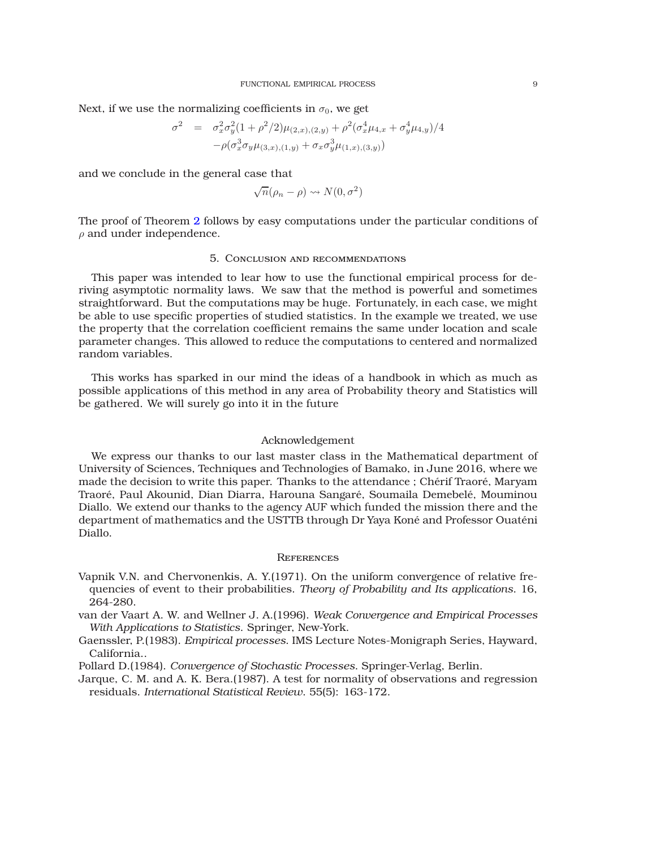Next, if we use the normalizing coefficients in  $\sigma_0$ , we get

$$
\sigma^2 = \sigma_x^2 \sigma_y^2 (1 + \rho^2/2) \mu_{(2,x),(2,y)} + \rho^2 (\sigma_x^4 \mu_{4,x} + \sigma_y^4 \mu_{4,y})/4 - \rho (\sigma_x^3 \sigma_y \mu_{(3,x),(1,y)} + \sigma_x \sigma_y^3 \mu_{(1,x),(3,y)})
$$

and we conclude in the general case that

$$
\sqrt{n}(\rho_n - \rho) \rightsquigarrow N(0, \sigma^2)
$$

<span id="page-8-5"></span>The proof of Theorem [2](#page-2-3) follows by easy computations under the particular conditions of  $\rho$  and under independence.

## 5. Conclusion and recommendations

This paper was intended to lear how to use the functional empirical process for deriving asymptotic normality laws. We saw that the method is powerful and sometimes straightforward. But the computations may be huge. Fortunately, in each case, we might be able to use specific properties of studied statistics. In the example we treated, we use the property that the correlation coefficient remains the same under location and scale parameter changes. This allowed to reduce the computations to centered and normalized random variables.

This works has sparked in our mind the ideas of a handbook in which as much as possible applications of this method in any area of Probability theory and Statistics will be gathered. We will surely go into it in the future

## Acknowledgement

We express our thanks to our last master class in the Mathematical department of University of Sciences, Techniques and Technologies of Bamako, in June 2016, where we made the decision to write this paper. Thanks to the attendance ; Chérif Traoré, Maryam Traoré, Paul Akounid, Dian Diarra, Harouna Sangaré, Soumaila Demebelé, Mouminou Diallo. We extend our thanks to the agency AUF which funded the mission there and the department of mathematics and the USTTB through Dr Yaya Koné and Professor Ouaténi Diallo.

## **REFERENCES**

- <span id="page-8-0"></span>Vapnik V.N. and Chervonenkis, A. Y.(1971). On the uniform convergence of relative frequencies of event to their probabilities. *Theory of Probability and Its applications*. 16, 264-280.
- <span id="page-8-1"></span>van der Vaart A. W. and Wellner J. A.(1996). *Weak Convergence and Empirical Processes With Applications to Statistics*. Springer, New-York.
- <span id="page-8-2"></span>Gaenssler, P.(1983). *Empirical processes*. IMS Lecture Notes-Monigraph Series, Hayward, California..

<span id="page-8-3"></span>Pollard D.(1984). *Convergence of Stochastic Processes*. Springer-Verlag, Berlin.

<span id="page-8-4"></span>Jarque, C. M. and A. K. Bera.(1987). A test for normality of observations and regression residuals. *International Statistical Review*. 55(5): 163-172.